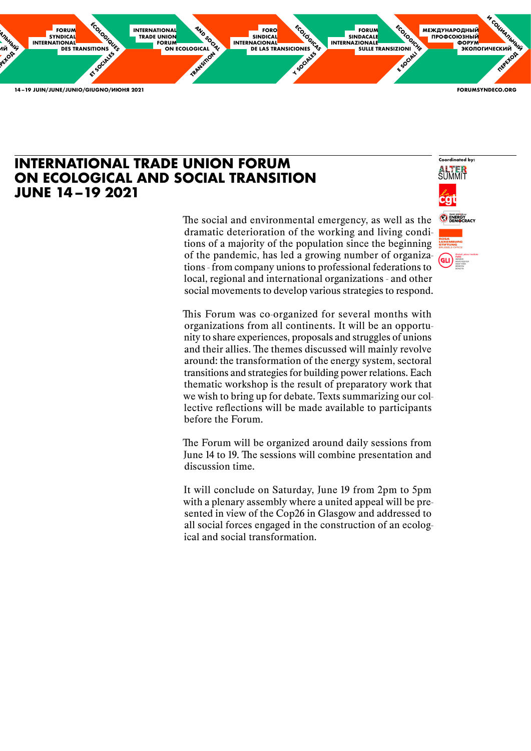

The social and environmental emergency, as well as the dramatic deterioration of the working and living conditions of a majority of the population since the beginning of the pandemic, has led a growing number of organizations - from company unions to professional federations to local, regional and international organizations - and other social movements to develop various strategies to respond.

This Forum was co-organized for several months with organizations from all continents. It will be an opportunity to share experiences, proposals and struggles of unions and their allies. The themes discussed will mainly revolve around: the transformation of the energy system, sectoral transitions and strategies for building power relations. Each thematic workshop is the result of preparatory work that we wish to bring up for debate. Texts summarizing our collective reflections will be made available to participants before the Forum.

The Forum will be organized around daily sessions from June 14 to 19. The sessions will combine presentation and discussion time.

It will conclude on Saturday, June 19 from 2pm to 5pm with a plenary assembly where a united appeal will be presented in view of the Cop26 in Glasgow and addressed to all social forces engaged in the construction of an ecological and social transformation.

### **INTERNATIONAL TRADE UNION FORUM ON ECOLOGICAL AND SOCIAL TRANSITION JUNE 14 –19 2021**

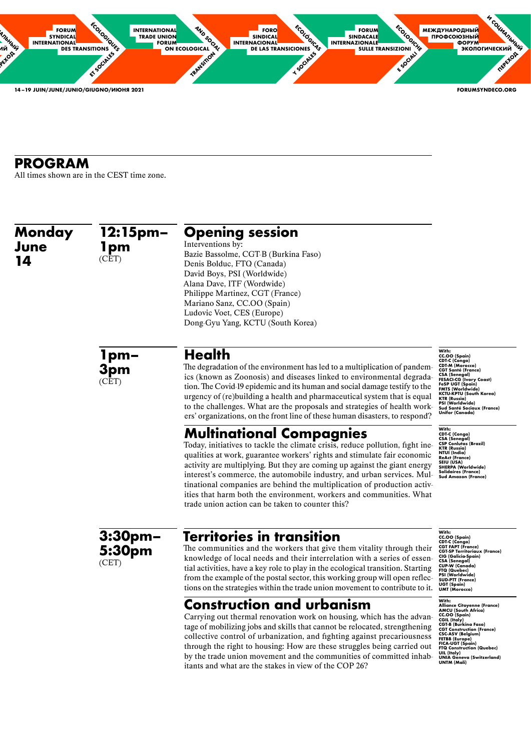

| Monday<br>June<br>14 | 12:15pm-<br>1pm<br>(CET) | <b>Opening session</b><br>Interventions by:<br>Bazie Bassolme, CGT-B (Burkina Faso)<br>Denis Bolduc, FTQ (Canada)<br>David Boys, PSI (Worldwide)<br>Alana Dave, ITF (Wordwide)<br>Philippe Martinez, CGT (France)<br>Mariano Sanz, CC.OO (Spain)<br>Ludovic Voet, CES (Europe)<br>Dong-Gyu Yang, KCTU (South Korea)                                                                                                                                                                                                                                       |                                                                                                                                                                                                                                                                                                                        |
|----------------------|--------------------------|-----------------------------------------------------------------------------------------------------------------------------------------------------------------------------------------------------------------------------------------------------------------------------------------------------------------------------------------------------------------------------------------------------------------------------------------------------------------------------------------------------------------------------------------------------------|------------------------------------------------------------------------------------------------------------------------------------------------------------------------------------------------------------------------------------------------------------------------------------------------------------------------|
|                      | 1pm-<br>3pm<br>(CET)     | <b>Health</b><br>The degradation of the environment has led to a multiplication of pandem-<br>ics (known as Zoonosis) and diseases linked to environmental degrada-<br>tion. The Covid-19 epidemic and its human and social damage testify to the<br>urgency of (re) building a health and pharmaceutical system that is equal<br>to the challenges. What are the proposals and strategies of health work-<br>ers' organizations, on the front line of these human disasters, to respond?                                                                 | With:<br>CC.OO (Spain)<br><b>CDT-C (Congo)</b><br>CDT-M (Morocco)<br><b>CGT Santé (France)</b><br><b>CSA (Senegal)</b><br><b>FESACI-CG (Ivory Coast)</b><br>FeSP UGT (Spain)<br><b>FMTS (Worldwide)</b><br>KCTU-KPTU (South Korea)<br>KTR (Russia)<br>PSI (Worldwide)<br>Sud Santé Sociaux (France)<br>Unifor (Canada) |
|                      |                          | <b>Multinational Compagnies</b><br>Today, initiatives to tackle the climate crisis, reduce pollution, fight ine-<br>qualities at work, guarantee workers' rights and stimulate fair economic<br>activity are multiplying. But they are coming up against the giant energy<br>interest's commerce, the automobile industry, and urban services. Mul-<br>tinational companies are behind the multiplication of production activ-<br>ities that harm both the environment, workers and communities. What<br>trade union action can be taken to counter this? | With:<br><b>CDT-C (Congo)</b><br>CSA (Senegal)<br><b>CSP Conlutas (Brazil)</b><br>KTR (Russia)<br>NTUI (India)<br>ReAct (France)<br>SEIU (USA)<br><b>SHERPA (Worldwide)</b><br>Solidaires (France)<br><b>Sud Amazon (France)</b>                                                                                       |
|                      | $3:30$ pm $-$<br>5:30pm  | <b>Territories in transition</b><br>The communities and the workers that give them vitality through their                                                                                                                                                                                                                                                                                                                                                                                                                                                 | With:<br>CC.OO (Spain)<br><b>CDT-C (Congo)</b><br><b>CGT FAPT (France)</b><br><b>CGT-SP Territoriaux (France)</b>                                                                                                                                                                                                      |

The communities and the workers that give them vitality through their knowledge of local needs and their interrelation with a series of essential activities, have a key role to play in the ecological transition. Starting from the example of the postal sector, this working group will open reflections on the strategies within the trade union movement to contribute to it.

### **Construction and urbanism**

Carrying out thermal renovation work on housing, which has the advantage of mobilizing jobs and skills that cannot be relocated, strengthening collective control of urbanization, and fighting against precariousness through the right to housing: How are these struggles being carried out by the trade union movement and the communities of committed inhabitants and what are the stakes in view of the COP 26?

# **PROGRAM**

All times shown are in the CEST time zone.

**5:30pm**

(CET)

**CIG (Galicia-Spain) CSA (Senegal) CUP-W (Canada) FTQ (Quebec) PSI (Worldwide) SUD-PTT (France) UGT (Spain) UMT (Morocco)**

#### **With:**

**Alliance Citoyenne (France) AMCU (South Africa) CC.OO (Spain) CGIL (Italy) CGT-B (Burkina Faso) CGT Construction (France) CSC-ASV (Belgium) FETBB (Europe) FICA-UGT (Spain) FTQ Construction (Quebec) UIL (Italy) UNIA Geneva (Switzerland) UNTM (Mali)**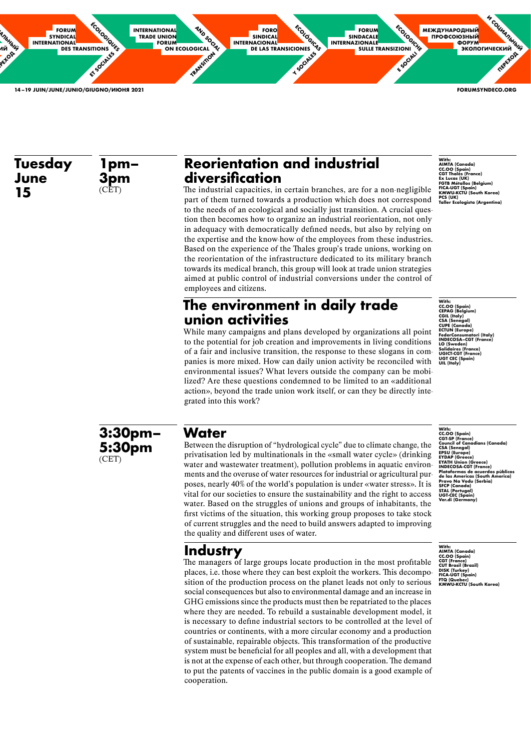

# **Reorientation and industrial diversification**

The industrial capacities, in certain branches, are for a non-negligible part of them turned towards a production which does not correspond to the needs of an ecological and socially just transition. A crucial question then becomes how to organize an industrial reorientation, not only in adequacy with democratically defined needs, but also by relying on the expertise and the know-how of the employees from these industries. Based on the experience of the Thales group's trade unions, working on the reorientation of the infrastructure dedicated to its military branch towards its medical branch, this group will look at trade union strategies aimed at public control of industrial conversions under the control of employees and citizens.

### **The environment in daily trade union activities**

While many campaigns and plans developed by organizations all point to the potential for job creation and improvements in living conditions of a fair and inclusive transition, the response to these slogans in companies is more mixed. How can daily union activity be reconciled with environmental issues? What levers outside the company can be mobilized? Are these questions condemned to be limited to an «additional action», beyond the trade union work itself, or can they be directly integrated into this work?

**1pm– 3pm**  $(CET)$ 

### **Water**

Between the disruption of "hydrological cycle" due to climate change, the privatisation led by multinationals in the «small water cycle» (drinking water and wastewater treatment), pollution problems in aquatic environments and the overuse of water resources for industrial or agricultural purposes, nearly 40% of the world's population is under «water stress». It is vital for our societies to ensure the sustainability and the right to access water. Based on the struggles of unions and groups of inhabitants, the first victims of the situation, this working group proposes to take stock of current struggles and the need to build answers adapted to improving the quality and different uses of water.

# **Industry**

The managers of large groups locate production in the most profitable

places, i.e. those where they can best exploit the workers. This decomposition of the production process on the planet leads not only to serious social consequences but also to environmental damage and an increase in GHG emissions since the products must then be repatriated to the places where they are needed. To rebuild a sustainable development model, it is necessary to define industrial sectors to be controlled at the level of countries or continents, with a more circular economy and a production of sustainable, repairable objects. This transformation of the productive system must be beneficial for all peoples and all, with a development that is not at the expense of each other, but through cooperation. The demand to put the patents of vaccines in the public domain is a good example of cooperation.

**Tuesday June 15**

> **3:30pm– 5:30pm** (CET)

**With: AIMTA (Canada) CC.OO (Spain) CGT Thalès (France) Ex Lucas (UK) FGTB Métallos (Belgium) FICA-UGT (Spain) KMWU-KCTU (South Korea) PCS (UK) Taller Ecologista (Argentina)**

**With: CC.OO (Spain) CEPAG (Belgium) CGIL (Italy) CSA (Senegal) CUPE (Canada) ECTUN (Europe) FederConsumatori (Italy) INDECOSA–CGT (France) LO (Sweden) Solidaires (France) UGICT-CGT (France) UGT CEC (Spain) UIL (Italy)**

**With: CC.OO (Spain) CGT-SP (France)**

**Council of Canadians (Canada)**

**CSA (Senegal) EPSU (Europe)**

**EYDAP (Greece) EYATH Union (Greece) INDECOSA-CGT (France) Plataformas de acuerdos pùblicos de las Americas (South America) Pravo Na Vodu (Serbia) SFCP (Canada) STAL (Portugal) UGT-CEC (Spain) Ver.di (Germany)**

**With: AIMTA (Canada) CC.OO (Spain) CGT (France)**

**CUT Brasil (Brazil) DISK (Turkey) FICA-UGT (Spain) FTQ (Quebec) KMWU-KCTU (South Korea)**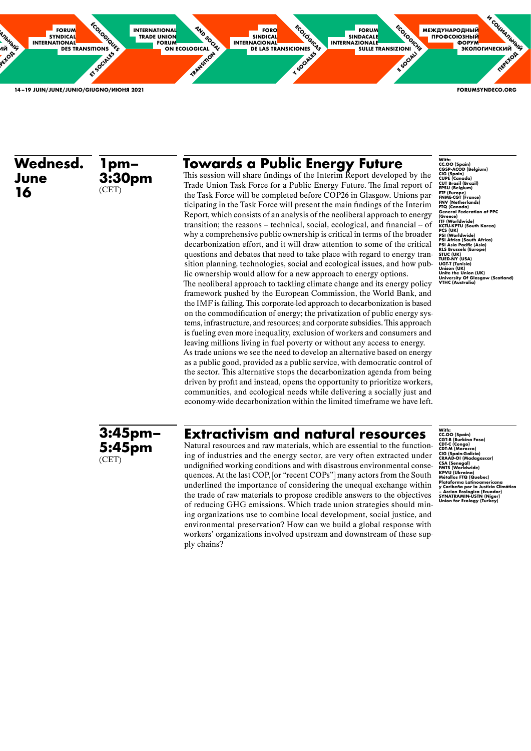

# **Towards a Public Energy Future**

This session will share findings of the Interim Report developed by the Trade Union Task Force for a Public Energy Future. The final report of the Task Force will be completed before COP26 in Glasgow. Unions participating in the Task Force will present the main findings of the Interim Report, which consists of an analysis of the neoliberal approach to energy transition; the reasons  $-$  technical, social, ecological, and financial  $-$  of why a comprehensive public ownership is critical in terms of the broader decarbonization effort, and it will draw attention to some of the critical questions and debates that need to take place with regard to energy transition planning, technologies, social and ecological issues, and how public ownership would allow for a new approach to energy options.

The neoliberal approach to tackling climate change and its energy policy framework pushed by the European Commission, the World Bank, and the IMF is failing. This corporate-led approach to decarbonization is based on the commodification of energy; the privatization of public energy systems, infrastructure, and resources; and corporate subsidies. This approach is fueling even more inequality, exclusion of workers and consumers and leaving millions living in fuel poverty or without any access to energy. As trade unions we see the need to develop an alternative based on energy as a public good, provided as a public service, with democratic control of the sector. This alternative stops the decarbonization agenda from being driven by profit and instead, opens the opportunity to prioritize workers, communities, and ecological needs while delivering a socially just and economy-wide decarbonization within the limited timeframe we have left.

### **Extractivism and natural resources**

Natural resources and raw materials, which are essential to the functioning of industries and the energy sector, are very often extracted under undignified working conditions and with disastrous environmental consequences. At the last COP, [or "recent COPs"] many actors from the South underlined the importance of considering the unequal exchange within the trade of raw materials to propose credible answers to the objectives of reducing GHG emissions. Which trade union strategies should mining organizations use to combine local development, social justice, and environmental preservation? How can we build a global response with workers' organizations involved upstream and downstream of these supply chains?

**Wednesd. June 16 3:30pm** (CET)

**1pm–**

**3:45pm– 5:45pm** (CET)

**With: CC.OO (Spain) CGSP-ACOD (Belgium) CIG (Spain) CUPE (Canada) CUT Brasil (Brazil) EPSU (Belgium) ETF (Europe) FNME-CGT (France) FNV (Netherlands) FTQ (Canada) General Federation of PPC (Greece) ITF (Worldwide) KCTU-KPTU (South Korea) PCS (UK) PSI (Worldwide) PSI Africa (South Africa) PSI Asia Pacific (Asia) RLS Brussels (Europe) STUC (UK) TUED-NY (USA) UGT-T (Tunisia) Unison (UK) Unite the Union (UK) University Of Glasgow (Scotland) VTHC (Australia)**

**With:** 

**CC.OO (Spain) CGT-B (Burkina Faso) CDT-C (Congo) CDT-M (Morocco) CIG (Spain-Galicia) CRAAD-OI (Madagascar) CSA (Senegal) FMTS (Worldwide) KPVU (Ukraina) Métallos FTQ (Quebec) Plataforma Latinoamericana y Caribeña por la Justicia Climática – Accion Ecologica (Ecuador) SYNATRAMIN-USTN (Niger) Union for Ecology (Turkey)**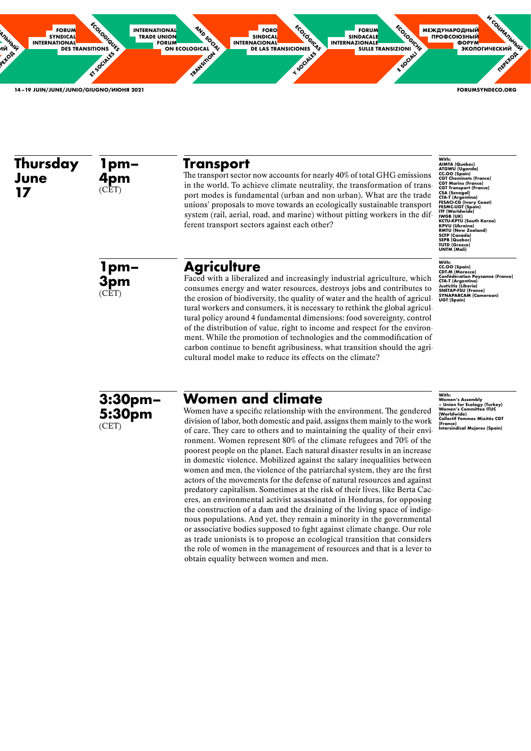

### **Transport**

The transport sector now accounts for nearly 40% of total GHG emissions in the world. To achieve climate neutrality, the transformation of transport modes is fundamental (urban and non-urban). What are the trade unions' proposals to move towards an ecologically sustainable transport system (rail, aerial, road, and marine) without pitting workers in the different transport sectors against each other?

### **Agriculture**

Faced with a liberalized and increasingly industrial agriculture, which consumes energy and water resources, destroys jobs and contributes to the erosion of biodiversity, the quality of water and the health of agricultural workers and consumers, it is necessary to rethink the global agricultural policy around 4 fundamental dimensions: food sovereignty, control of the distribution of value, right to income and respect for the environment. While the promotion of technologies and the commodification of carbon continue to benefit agribusiness, what transition should the agricultural model make to reduce its effects on the climate?

**1pm– 4pm**  $(CET)$ 

With:<br>AIMTA (Quebec)<br>ATGWU (Uganda)<br>CC.OO (Spain)<br>CGT Cheminots (France) **CGT Marins (France) CGT Transport (France) CSA (Senegal) CTA-T (Argentina) FESACI-CG (Ivory Coast) FESMC-UGT (Spain) ITF (Worldwide) IWGB (UK) KCTU-KPTU (South Korea) KPVU (Ukraina) RMTU (New Zealand) SCFP (Canada) SEPB (Quebec) TUTD (Greece) UNTM (Mali)**

**Women and climate** Women have a specific relationship with the environment. The gendered division of labor, both domestic and paid, assigns them mainly to the work of care. They care to others and to maintaining the quality of their environment. Women represent 80% of the climate refugees and 70% of the poorest people on the planet. Each natural disaster results in an increase in domestic violence. Mobilized against the salary inequalities between women and men, the violence of the patriarchal system, they are the first actors of the movements for the defense of natural resources and against predatory capitalism. Sometimes at the risk of their lives, like Berta Caceres, an environmental activist assassinated in Honduras, for opposing the construction of a dam and the draining of the living space of indigenous populations. And yet, they remain a minority in the governmental or associative bodies supposed to fight against climate change. Our role as trade unionists is to propose an ecological transition that considers the role of women in the management of resources and that is a lever to obtain equality between women and men.

#### **Thursday June 17**

**1pm– 3pm** (CET)

**3:30pm–**

**5:30pm**

(CET)



**With: Women's Assembly – Union for Ecology (Turkey) Women's Committee ITUC (Worldwide) Collectif Femmes Mixités CGT (France) Intersindical Mujeres (Spain)**